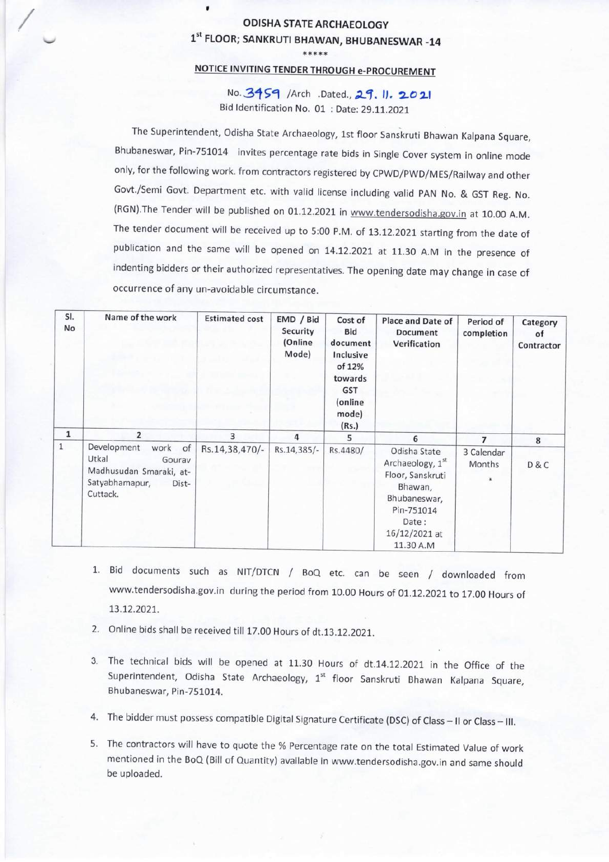## V<br>CODISHA STATE ARCHAEOLOGY<br>1<sup>st</sup> FLOOR; SANKRUTI BHAWAN, BHUBANESWAR -14

## \*\*\*\*\* NOTICE INVITING TENDER THROUGH e-PROCUREMENT

No. 3459 /Arch .Dated., 29. 11. 2021 Bid Identification No. 01 : Date: 29.11.2021

The Superintendent, Odisha State Archaeology, 1st floor Sanskruti Bhawan Kalpana Square, Bhubaneswar, Pin-751014 invites percentage rate bids in Single Cover system in online mode only, for the following work. from contractors registered by CPWD/PWD/MES/Railway and other Govt./Semi Govt. Department etc. with valid license including valid PAN No. & GST Reg. No. (RGN).The Tender will be published on 01.12.2021 in www.tendersodisha.gov.in at 10.00 A.M. The tender document will be received up to 5:00 P.M. of 13.12.2021 starting from the date of publication and the same will be opened on 14.12.2021 at 11.30 A.M in the presence of indenting bidders or their authorized representatives. The opening date may change in case of occurrence of any un-avoidable circumstance.

| SI.<br>No    | Name of the work                                                                                            | <b>Estimated cost</b> | EMD / Bid<br>Security<br>(Online<br>Mode) | Cost of<br><b>Bid</b><br>document<br>Inclusive<br>of 12%<br>towards<br><b>GST</b><br>(online<br>mode)<br>(Rs.) | Place and Date of<br><b>Document</b><br>Verification                                                                                 | Period of<br>completion | Category<br>of<br>Contractor |
|--------------|-------------------------------------------------------------------------------------------------------------|-----------------------|-------------------------------------------|----------------------------------------------------------------------------------------------------------------|--------------------------------------------------------------------------------------------------------------------------------------|-------------------------|------------------------------|
| $\mathbf{1}$ | $\overline{2}$                                                                                              | 3                     | 4                                         | 5                                                                                                              | 6                                                                                                                                    | $\overline{7}$          | 8                            |
| $\mathbf{1}$ | Development<br>work of<br>Utkal<br>Gourav<br>Madhusudan Smaraki, at-<br>Satyabhamapur,<br>Dist-<br>Cuttack. | Rs.14,38,470/-        | Rs.14,385/-                               | Rs.4480/                                                                                                       | Odisha State<br>Archaeology, 1st<br>Floor, Sanskruti<br>Bhawan,<br>Bhubaneswar,<br>Pin-751014<br>Date:<br>16/12/2021 at<br>11.30 A.M | 3 Calendar<br>Months    | D&C                          |

- 1. Bid documents such as NIT/DTCN / BOQ etc. can be seen / downloaded from www.tendersodisha.gov.in during the period from 10.00 Hours of 01.12.2021 to 17.00 Hours of 13.12.2021.
- 2. Online bids shall be received till 17.00 Hours of dt.13.12.2021.
- 3. The technical bids will be opened at 11.30 Hours of dt.14.12.2021 in the Office of the Superintendent, Odisha State Archaeology, 1<sup>st</sup> floor Sanskruti Bhawan Kalpana Square, Bhubaneswar, Pin-751014.
- 4. The bidder must possess compatible Digital Signature Certificate (DSC) of Class II or Class III.
- 5. The contractors will have to quote the % Percentage rate on the total Estimated Value of work mentioned in the BOQ (Bill of Quantity) available in www.tendersodisha.gov.in and same should be uploaded.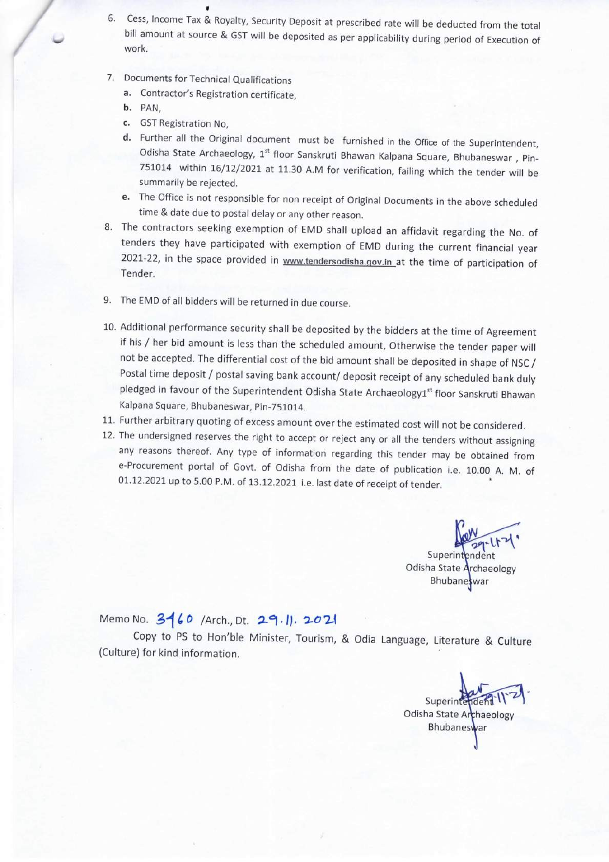- 6. Cess, Income Tax & Royalty, Security Deposit at prescribed rate will be deducted from the total bill amount at source & GST will be deposited as per applicability during period of Execution of work.
- 7. Documents for Technical Qualifications
	- a. Contractor's Registration certificate,
	- b. PAN,
	- c. GSTRegistration No,
	- d. Further all the Original document must be furnished in the Office of the Superintendent, Odisha State Archaeology, 1<sup>st</sup> floor Sanskruti Bhawan Kalpana Square, Bhubaneswar, Pin-751014 within 16/12/2021 at 11.30 A.M for verification, failing which the tender will be summarily be rejected.
	- e. The Office is not responsible for non receipt of Original Documents in the above scheduled time & date due to postal delay or any other reason.
- 8. The contractors seeking exemption of EMD shall upload an affidavit regarding the No. of tenders they have participated with exemption of EMD during the current financial year 2021-22, in the space provided in www.tendersodisha.gov.in at the time of participation of Tender.
- 9. The EMD of all bidders will be returned in due course.
- 10. Additional performance security shall be deposited by the bidders at the time of Agreement if his / her bid amount is less than the scheduled amount, Otherwise the tender paper will not be accepted. The differential cost of the bid amount shall be deposited in shape of NSC / Postal time deposit / postal saving bank account/ deposit receipt of any scheduled bank duly pledged in favour of the Superintendent Odisha State Archaeology1<sup>st</sup> floor Sanskruti Bhawan Kalpana Square, Bhubaneswar, Pin-751014.
- 11. Further arbitrary quoting of excess amount over the estimated cost will not be considered.
- 12. The undersigned reserves the right to accept or reject any or aH the tenders without assigning any reasons thereof. Any type of information regarding this tender may be obtained from e-Procurement portal of Govt. of Odisha from the date of publication i.e. 10.00 A. M. of  $01.12.2021$  up to 5.00 P.M. of  $13.12.2021$  i.e. last date of receipt of tender.

Superintendent Odisha State Archaeology **Bhubane**swar

## Memo No. 3160 /Arch., Dt. 29.1. 2021

Copy to PS to Hon'ble Minister, Tourism, & Odia Language, Literature & Culture (Culture) for kind information.

Superinte Odisha State Archaeology Bhubaneswar